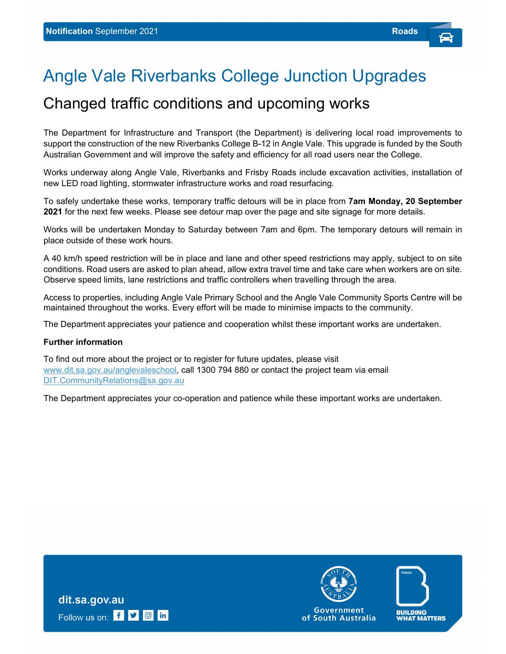## Angle Vale Riverbanks College Junction Upgrades

## Changed traffic conditions and upcoming works

The Department for Infrastructure and Transport (the Department) is delivering local road improvements to support the construction of the new Riverbanks College B-12 in Angle Vale. This upgrade is funded by the South Australian Government and will improve the safety and efficiency for all road users near the College.

Works underway along Angle Vale, Riverbanks and Frisby Roads include excavation activities, installation of new LED road lighting, stormwater infrastructure works and road resurfacing.

To safely undertake these works, temporary traffic detours will be in place from **7am Monday, 20 September 2021** for the next few weeks. Please see detour map over the page and site signage for more details.

Works will be undertaken Monday to Saturday between 7am and 6pm. The temporary detours will remain in place outside of these work hours.

A 40 km/h speed restriction will be in place and lane and other speed restrictions may apply, subject to on site conditions. Road users are asked to plan ahead, allow extra travel time and take care when workers are on site. Observe speed limits, lane restrictions and traffic controllers when travelling through the area.

Access to properties, including Angle Vale Primary School and the Angle Vale Community Sports Centre will be maintained throughout the works. Every effort will be made to minimise impacts to the community.

The Department appreciates your patience and cooperation whilst these important works are undertaken.

## **Further information**

To find out more about the project or to register for future updates, please visit www.dit.sa.gov.au/anglevaleschool, call 1300 794 880 or contact the project team via email DIT.CommunityRelations@sa.gov.au

The Department appreciates your co-operation and patience while these important works are undertaken.